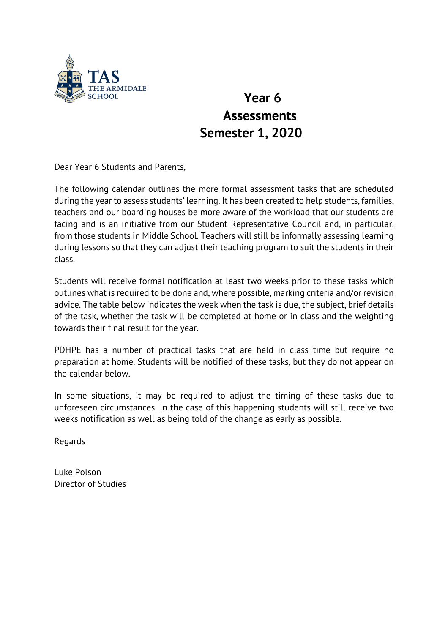

## **Year 6 Assessments Semester 1, 2020**

Dear Year 6 Students and Parents,

The following calendar outlines the more formal assessment tasks that are scheduled during the year to assess students' learning. It has been created to help students, families, teachers and our boarding houses be more aware of the workload that our students are facing and is an initiative from our Student Representative Council and, in particular, from those students in Middle School. Teachers will still be informally assessing learning during lessons so that they can adjust their teaching program to suit the students in their class.

Students will receive formal notification at least two weeks prior to these tasks which outlines what is required to be done and, where possible, marking criteria and/or revision advice. The table below indicates the week when the task is due, the subject, brief details of the task, whether the task will be completed at home or in class and the weighting towards their final result for the year.

PDHPE has a number of practical tasks that are held in class time but require no preparation at home. Students will be notified of these tasks, but they do not appear on the calendar below.

In some situations, it may be required to adjust the timing of these tasks due to unforeseen circumstances. In the case of this happening students will still receive two weeks notification as well as being told of the change as early as possible.

Regards

Luke Polson Director of Studies